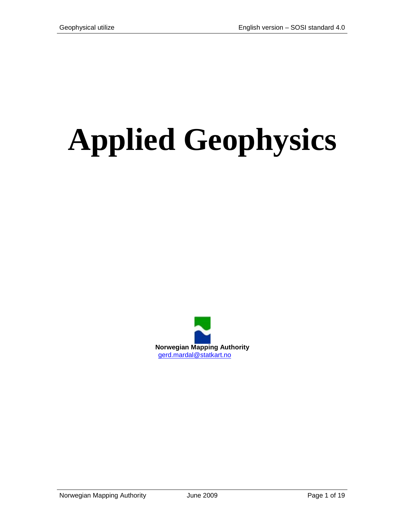# **Applied Geophysics**

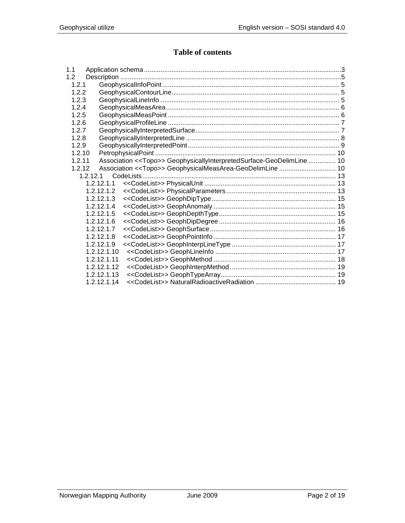# Table of contents

| 1.1      |             |                                                                        |  |
|----------|-------------|------------------------------------------------------------------------|--|
| 1.2      |             |                                                                        |  |
| 1.2.1    |             |                                                                        |  |
| 122      |             |                                                                        |  |
| 1.2.3    |             |                                                                        |  |
| 1.2.4    |             |                                                                        |  |
| 1.2.5    |             |                                                                        |  |
| 1.2.6    |             |                                                                        |  |
| 1.2.7    |             |                                                                        |  |
| 1.2.8    |             |                                                                        |  |
| 1.2.9    |             |                                                                        |  |
| 1.2.10   |             |                                                                        |  |
| 1.2.11   |             | Association << Topo>> GeophysicallyInterpretedSurface-GeoDelimLine  10 |  |
| 1.2.12   |             | Association < <topo>&gt; GeophysicalMeasArea-GeoDelimLine  10</topo>   |  |
| 1.2.12.1 |             |                                                                        |  |
|          | 1.2.12.1.1  |                                                                        |  |
|          | 1.2.12.1.2  |                                                                        |  |
|          | 1.2.12.1.3  |                                                                        |  |
|          | 1.2.12.1.4  |                                                                        |  |
|          | 1.2.12.1.5  |                                                                        |  |
|          | 1.2.12.1.6  |                                                                        |  |
|          | 1.2.12.1.7  |                                                                        |  |
|          | 1.2.12.1.8  |                                                                        |  |
|          | 1.2.12.1.9  |                                                                        |  |
|          | 1.2.12.1.10 |                                                                        |  |
|          | 1.2.12.1.11 |                                                                        |  |
|          | 1.2.12.1.12 |                                                                        |  |
|          | 1.2.12.1.13 |                                                                        |  |
|          | 1.2.12.1.14 |                                                                        |  |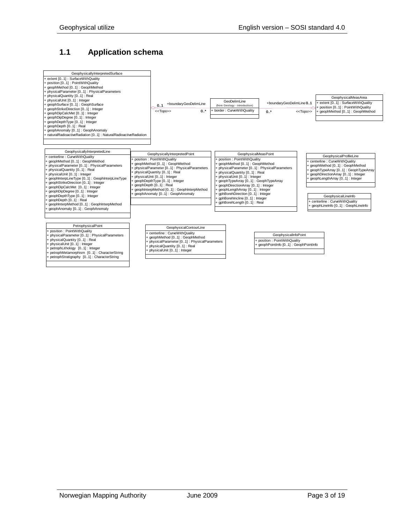# <span id="page-2-0"></span>**1.1 Application schema**

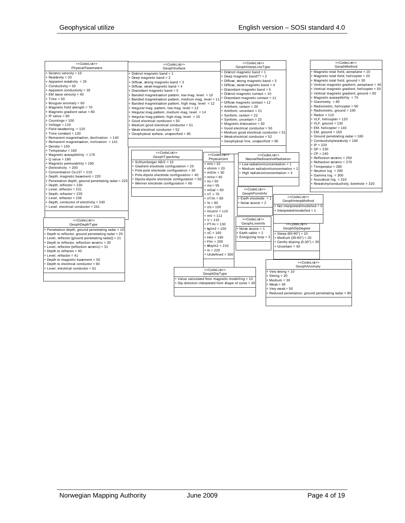| < <codelist>&gt;</codelist>                         | < <codelist>&gt;</codelist>                           |                              |  | < <codelist>&gt;<br/>GeophInterpLineType</codelist> |                             |                               |                                      |                             | < <codelist>&gt;<br/>GeophMethod</codelist>                                       |                                               |
|-----------------------------------------------------|-------------------------------------------------------|------------------------------|--|-----------------------------------------------------|-----------------------------|-------------------------------|--------------------------------------|-----------------------------|-----------------------------------------------------------------------------------|-----------------------------------------------|
| <b>Physical Parameters</b>                          | GeophSurface                                          |                              |  |                                                     |                             |                               |                                      |                             |                                                                                   |                                               |
| + Seismic velocity = 10                             | - Distinct magnetic band = 1                          |                              |  | + Distinct magnetic band = 1                        |                             |                               |                                      |                             | + Magnetic total field, aeroplane = 10<br>+ Magnetic total field, helicopter = 20 |                                               |
| + Resistivity = 20                                  | Deep magnetic band = 2                                |                              |  | + Deep magnetic band?? $= 2$                        |                             |                               |                                      |                             |                                                                                   |                                               |
| + Apparent resistivity = 25                         | + Diffuse, strong magnetic band = 3                   |                              |  | + Diffuse, strong magnetic band = 3                 |                             |                               |                                      |                             | + Magnetic total field, ground = 30                                               |                                               |
| + Conductivity = 30                                 | Diffuse, weak magnetic band = 4                       |                              |  | + Diffuse, weak magnetic band = 4                   |                             |                               |                                      |                             |                                                                                   | + Vertical magnetic gradient, aeroplane = 40  |
| + Apparent conductivity = 35                        | Discordant magnetic band = 5                          |                              |  | + Discordant magnetic band = 5                      |                             |                               |                                      |                             |                                                                                   | + Vertical magnetic gradient, helicopter = 50 |
| + EM wave velocity = 40                             | Banded magnetisation pattern, low mag. level = 10     |                              |  | + Distinct magnetic contact = 10                    |                             |                               |                                      |                             | + Vertical magnetic gradient, ground = 60                                         |                                               |
| $+ Time = 50$                                       | + Banded magnetisation pattern, medium mag. level = 1 |                              |  | + Discordant magnetic contact = 11                  |                             |                               |                                      |                             | + Magnetic susceptibility = 70                                                    |                                               |
| + Bouguer anomaly = 60                              | Banded magnetisation pattern, high mag. level = 12    |                              |  | + Diffuse magnetic contact = 12                     |                             |                               |                                      |                             | + Gravimetry = 80                                                                 |                                               |
| + Magnetic field strength = 70                      | + Irregular mag. pattern, low mag. level = 13         |                              |  | $+$ Antiform, certain = 20                          |                             |                               |                                      |                             | + Radiometric, helicopter = 90                                                    |                                               |
| + Magnetic gradient value = 80                      | + Irregular mag.pattem, medium mag. level = 14        |                              |  | + Antiform, uncertain = 21                          |                             |                               |                                      |                             | + Radiometric, ground = 100                                                       |                                               |
| $+$ IP value = 90                                   | + Irregular mag.pattem, high mag. level = 15          |                              |  | + Synform, certain = 22                             |                             |                               |                                      |                             | $+$ Radon = 110                                                                   |                                               |
| + Countings = 100                                   | + Good electrical conductor = 50                      |                              |  | + Synform, uncertain = 23                           |                             |                               |                                      |                             | + VLF, helicopter = 120                                                           |                                               |
| $+$ Voltage = 110                                   | + Medium good electrical conductor = 51               |                              |  | + Magnetic dislocation = 30                         |                             |                               |                                      |                             | $+$ VLF, ground = 130                                                             |                                               |
| + Field weakening = 120                             | + Weak electrical conductor = 52                      |                              |  | + Good electrical conductor = 50                    |                             |                               |                                      |                             | + EM, helicopter = 140                                                            |                                               |
| + Time constant = 130                               | + Geophysical surface, unspecified = 90               |                              |  | + Medium good electrical conductor = 51             |                             |                               |                                      |                             | $+$ EM, ground = 150                                                              |                                               |
| + Remanent magnetisation, declination = 140         |                                                       |                              |  | + Weak electrical conductor = 52                    |                             |                               |                                      |                             | + Ground penetrating radar = 180                                                  |                                               |
| + Remanent magnetisation, inclination = 141         |                                                       |                              |  | + Geophysical line, unspecified = 90                |                             |                               |                                      |                             | + Conductivity/resistivity = 190                                                  |                                               |
| $+$ Density = 150                                   |                                                       |                              |  |                                                     |                             |                               |                                      | $+ IP = 220$                |                                                                                   |                                               |
| + Temperatur = 160                                  |                                                       |                              |  |                                                     |                             |                               |                                      | $+ SP = 230$                |                                                                                   |                                               |
| + Magnetic susceptibility = 170                     | < <codelist>&gt;</codelist>                           | < <codelist>&gt;</codelist>  |  |                                                     | < <codelist>&gt;</codelist> |                               |                                      | $+ CP = 240$                |                                                                                   |                                               |
| $+$ Q value = 180                                   | GeophTypeArray                                        | PhysicalUnit                 |  |                                                     |                             | Natural Radioactive Radiation |                                      |                             | + Reflection seismic = 250                                                        |                                               |
| + Magnetic permeability = 190                       | + Schlumberger AB/2 = 10                              | $+m/s = 10$                  |  | Low radiation/concentration = 1                     |                             |                               |                                      |                             | + Refraction seismic = 270                                                        |                                               |
| $-Di$ electricity = 200                             | + Gradient electrode configuration = 20               | $+$ ohmm = 20                |  | + Medium radiation/concentration = 2                |                             |                               |                                      |                             | + Temperatur = 280                                                                |                                               |
| + Concentration Cs-137 = 210                        | + Pole-pole electrode configuration = 30              | $+ mS/m = 30$                |  |                                                     |                             |                               |                                      |                             | + Neutron $log = 290$                                                             |                                               |
| + Depth, magnetic basement = 220                    | + Pole-dipole electrode configuration = 40            | $+m/ns = 40$                 |  | + High radiation/concentration = 3                  |                             |                               |                                      |                             | $+$ Gamma log = 300                                                               |                                               |
| Penetration depth, ground penetrating radar = 225   | + Dipole-dipole electrode configuration = 50          | $+ ns = 50$                  |  |                                                     |                             |                               |                                      |                             | + Acoustical log = 310                                                            |                                               |
| + Depth, reflector = 230                            | + Wenner electrode configuration = 60                 | $+ ms = 55$                  |  |                                                     |                             |                               |                                      |                             | + Resistivity/conductivity, borehole = 320                                        |                                               |
| + Level. reflector = 231                            |                                                       |                              |  | < <codelist>&gt;</codelist>                         |                             |                               |                                      |                             |                                                                                   |                                               |
| + Depth, refractor = 235                            |                                                       | $+mGal = 60$                 |  | GeophPointInfo                                      |                             |                               |                                      |                             |                                                                                   |                                               |
| + Level, refractor = 236                            |                                                       | $+ nT = 70$<br>$+ nT/m = 80$ |  |                                                     |                             |                               | < <codelist>&gt;</codelist>          |                             |                                                                                   |                                               |
| + Depth, conductor of electricity = 240             |                                                       |                              |  | + Earth electrode = 1                               |                             |                               | GeophInterpMethod                    |                             |                                                                                   |                                               |
| + Level, electrical conductor = 241                 |                                                       | $+ \% = 90$                  |  | $+$ Noise source = 2                                |                             |                               | + Not interpreted/modelled = 0       |                             |                                                                                   |                                               |
|                                                     |                                                       | $+ c/s = 100$                |  |                                                     |                             |                               | + Interpreted/modelled = 1           |                             |                                                                                   |                                               |
|                                                     |                                                       | $+$ micro $V = 110$          |  |                                                     |                             |                               |                                      |                             |                                                                                   |                                               |
|                                                     |                                                       | $+mV = 112$                  |  | < <codelist>&gt;</codelist>                         |                             |                               |                                      |                             |                                                                                   |                                               |
| < <codelist>&gt;</codelist>                         |                                                       | $+V = 115$                   |  | GeophLineInfo                                       |                             |                               |                                      |                             |                                                                                   |                                               |
| GeophDepthType                                      |                                                       | $+ PT/m = 130$               |  |                                                     |                             |                               | < <codelist>&gt;</codelist>          |                             |                                                                                   |                                               |
| + Penetration depth, ground penetrating radar = 10  |                                                       | $+$ kg/m3 = 150              |  | $+$ Noise source = 1                                |                             |                               | GeophDipDegree                       |                             |                                                                                   |                                               |
| + Depth to reflector, ground penetrating radar = 20 |                                                       | $+ 0C = 160$                 |  | $+$ Earth cable = 2                                 |                             |                               | + Steep $(60-90^\circ) = 10$         |                             |                                                                                   |                                               |
| + Level, reflector (ground penetrating radar)) = 21 |                                                       | $+ H/m = 190$                |  | + Energizing loop = 3                               |                             |                               | + Medium $(30-60^\circ) = 20$        |                             |                                                                                   |                                               |
| + Depth to reflector, reflection seismic = 30       |                                                       | $F/m = 200$                  |  |                                                     |                             |                               | + Gently sloping $(0-30^\circ)$ = 30 |                             |                                                                                   |                                               |
| + Level, reflector (reflection seismic) = 31        |                                                       | $+$ kBq/m2 = 210             |  |                                                     |                             |                               | $+$ Uncertain = 40                   |                             |                                                                                   |                                               |
| + Depth to refractor = 40                           |                                                       | $+m = 220$                   |  |                                                     |                             |                               |                                      |                             |                                                                                   |                                               |
| + Level, refractor = 41                             |                                                       | + Undefined = 300            |  |                                                     |                             |                               |                                      |                             |                                                                                   |                                               |
| + Depth to magnetic basement = 50                   |                                                       |                              |  |                                                     |                             |                               |                                      |                             |                                                                                   |                                               |
| + Depth to electrical conductor = 60                |                                                       |                              |  |                                                     |                             |                               |                                      | < <codelist>&gt;</codelist> |                                                                                   |                                               |
| + Level, electrical conductor = 61                  |                                                       | < <codelist>&gt;</codelist>  |  |                                                     |                             |                               |                                      | GeophAnomaly                |                                                                                   |                                               |
|                                                     |                                                       | GeophDipType                 |  |                                                     |                             | + Very strong = 10            |                                      |                             |                                                                                   |                                               |
|                                                     | + Value calculated from magnetic modelling = 10       |                              |  |                                                     |                             | $F$ Strong = 20               |                                      |                             |                                                                                   |                                               |
|                                                     | + Dip direction interpreted from shape of curve = 20  |                              |  |                                                     |                             | $+$ Medium = 30               |                                      |                             |                                                                                   |                                               |
|                                                     |                                                       |                              |  |                                                     |                             | $+$ Weak = 40                 |                                      |                             |                                                                                   |                                               |
|                                                     |                                                       |                              |  |                                                     |                             | $+$ Very weak = 50            |                                      |                             |                                                                                   |                                               |
|                                                     |                                                       |                              |  |                                                     |                             |                               |                                      |                             | + Reduced penetration, ground penetrating radar = 90                              |                                               |
|                                                     |                                                       |                              |  |                                                     |                             |                               |                                      |                             |                                                                                   |                                               |
|                                                     |                                                       |                              |  |                                                     |                             |                               |                                      |                             |                                                                                   |                                               |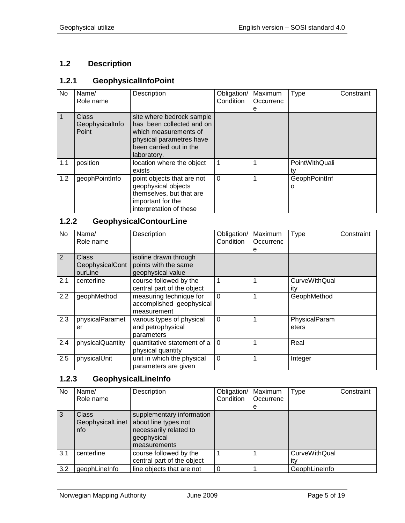# <span id="page-4-0"></span>**1.2 Description**

## <span id="page-4-1"></span>**1.2.1 GeophysicalInfoPoint**

| No  | Name/                                    | Description                                                                                                                            | Obligation/ | Maximum   | Type               | Constraint |
|-----|------------------------------------------|----------------------------------------------------------------------------------------------------------------------------------------|-------------|-----------|--------------------|------------|
|     | Role name                                |                                                                                                                                        | Condition   | Occurrenc |                    |            |
|     |                                          |                                                                                                                                        |             | е         |                    |            |
|     | <b>Class</b><br>GeophysicalInfo<br>Point | site where bedrock sample<br>has been collected and on<br>which measurements of<br>physical parametres have<br>been carried out in the |             |           |                    |            |
|     |                                          | laboratory.                                                                                                                            |             |           |                    |            |
| 1.1 | position                                 | location where the object<br>exists                                                                                                    | 1           |           | PointWithQuali     |            |
| 1.2 | geophPointInfo                           | point objects that are not<br>geophysical objects<br>themselves, but that are<br>important for the<br>interpretation of these          | $\Omega$    |           | GeophPointInf<br>o |            |

# <span id="page-4-2"></span>**1.2.2 GeophysicalContourLine**

| No  | Name/<br>Role name                  | Description                                                        | Obligation/<br>Condition | Maximum<br>Occurrenc<br>е | <b>Type</b>                 | Constraint |
|-----|-------------------------------------|--------------------------------------------------------------------|--------------------------|---------------------------|-----------------------------|------------|
| 2   | Class<br>GeophysicalCont<br>ourLine | isoline drawn through<br>points with the same<br>geophysical value |                          |                           |                             |            |
| 2.1 | centerline                          | course followed by the<br>central part of the object               | 1                        | 1                         | <b>CurveWithQual</b><br>ity |            |
| 2.2 | geophMethod                         | measuring technique for<br>accomplished geophysical<br>measurement | $\Omega$                 | 1                         | GeophMethod                 |            |
| 2.3 | physicalParamet<br>er               | various types of physical<br>and petrophysical<br>parameters       | $\Omega$                 | 1                         | PhysicalParam<br>eters      |            |
| 2.4 | physicalQuantity                    | quantitative statement of a<br>physical quantity                   | $\overline{0}$           | 1                         | Real                        |            |
| 2.5 | physicalUnit                        | unit in which the physical<br>parameters are given                 | $\mathbf 0$              | 1                         | Integer                     |            |

## <span id="page-4-3"></span>**1.2.3 GeophysicalLineInfo**

| No  | Name/<br>Role name                      | Description                                                                                                | Obligation/<br>Condition | Maximum<br>Occurrenc<br>е | Type                        | Constraint |
|-----|-----------------------------------------|------------------------------------------------------------------------------------------------------------|--------------------------|---------------------------|-----------------------------|------------|
| 3   | <b>Class</b><br>GeophysicalLinel<br>nfo | supplementary information<br>about line types not<br>necessarily related to<br>geophysical<br>measurements |                          |                           |                             |            |
| 3.1 | centerline                              | course followed by the<br>central part of the object                                                       |                          |                           | <b>CurveWithQual</b><br>ıt٧ |            |
| 3.2 | geophLineInfo                           | line objects that are not                                                                                  |                          |                           | GeophLineInfo               |            |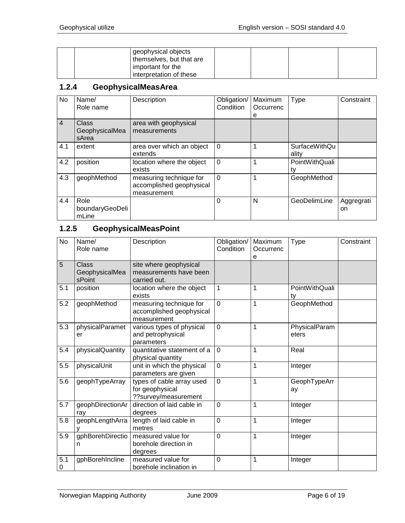| geophysical objects<br>themselves, but that are |  |  |
|-------------------------------------------------|--|--|
| important for the                               |  |  |
| interpretation of these                         |  |  |

#### <span id="page-5-0"></span>**1.2.4 GeophysicalMeasArea**

| No             | Name/<br>Role name               | Description                                                        | Obligation/<br>Condition | Maximum<br>Occurrenc | <b>Type</b>            | Constraint       |
|----------------|----------------------------------|--------------------------------------------------------------------|--------------------------|----------------------|------------------------|------------------|
| $\overline{4}$ | Class<br>GeophysicalMea<br>sArea | area with geophysical<br>measurements                              |                          | е                    |                        |                  |
| 4.1            | extent                           | area over which an object<br>extends                               | $\Omega$                 |                      | SurfaceWithQu<br>ality |                  |
| 4.2            | position                         | location where the object<br>exists                                | $\overline{0}$           | 1                    | PointWithQuali<br>tv   |                  |
| 4.3            | geophMethod                      | measuring technique for<br>accomplished geophysical<br>measurement | $\Omega$                 | 1                    | GeophMethod            |                  |
| 4.4            | Role<br>boundaryGeoDeli<br>mLine |                                                                    | $\Omega$                 | N                    | GeoDelimLine           | Aggregrati<br>on |

# <span id="page-5-1"></span>**1.2.5 GeophysicalMeasPoint**

| <b>No</b> | Name/<br>Role name                       | Description                                                          | Obligation/<br>Condition | Maximum<br>Occurrenc<br>е | <b>Type</b>            | Constraint |
|-----------|------------------------------------------|----------------------------------------------------------------------|--------------------------|---------------------------|------------------------|------------|
| 5         | <b>Class</b><br>GeophysicalMea<br>sPoint | site where geophysical<br>measurements have been<br>carried out.     |                          |                           |                        |            |
| 5.1       | position                                 | location where the object<br>exists                                  | 1                        | 1                         | PointWithQuali<br>ty   |            |
| 5.2       | geophMethod                              | measuring technique for<br>accomplished geophysical<br>measurement   | $\mathbf 0$              | 1                         | GeophMethod            |            |
| 5.3       | physicalParamet<br>er                    | various types of physical<br>and petrophysical<br>parameters         | $\mathbf 0$              | 1                         | PhysicalParam<br>eters |            |
| 5.4       | physicalQuantity                         | quantitative statement of a<br>physical quantity                     | $\mathbf 0$              | 1                         | Real                   |            |
| 5.5       | physicalUnit                             | unit in which the physical<br>parameters are given                   | $\mathbf 0$              | 1                         | Integer                |            |
| 5.6       | geophTypeArray                           | types of cable array used<br>for geophysical<br>??survey/measurement | $\mathbf 0$              | 1                         | GeophTypeArr<br>ay     |            |
| 5.7       | geophDirectionAr<br>ray                  | direction of laid cable in<br>degrees                                | $\mathbf 0$              | 1                         | Integer                |            |
| 5.8       | geophLengthArra                          | length of laid cable in<br>metres                                    | $\mathbf 0$              | 1                         | Integer                |            |
| 5.9       | gphBorehDirectio<br>n                    | measured value for<br>borehole direction in<br>degrees               | $\overline{0}$           | 1                         | Integer                |            |
| 5.1<br>0  | gphBorehIncline                          | measured value for<br>borehole inclination in                        | $\overline{0}$           | 1                         | Integer                |            |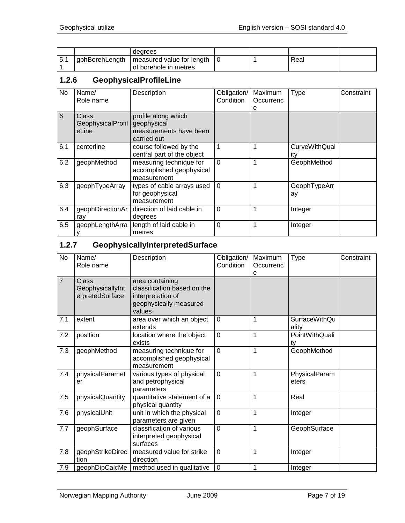|        |                   | dearees                                            |  |      |  |
|--------|-------------------|----------------------------------------------------|--|------|--|
| $-5.1$ | ' gphBorehLength_ | measured value for length<br>of borehole in metres |  | Real |  |

#### <span id="page-6-0"></span>**1.2.6 GeophysicalProfileLine**

| No  | Name/<br>Role name                  | Description                                                                 | Obligation/<br>Condition | Maximum<br>Occurrenc<br>е | <b>Type</b>                 | Constraint |
|-----|-------------------------------------|-----------------------------------------------------------------------------|--------------------------|---------------------------|-----------------------------|------------|
| 6   | Class<br>GeophysicalProfil<br>eLine | profile along which<br>geophysical<br>measurements have been<br>carried out |                          |                           |                             |            |
| 6.1 | centerline                          | course followed by the<br>central part of the object                        |                          |                           | <b>CurveWithQual</b><br>ıtv |            |
| 6.2 | geophMethod                         | measuring technique for<br>accomplished geophysical<br>measurement          | $\Omega$                 |                           | GeophMethod                 |            |
| 6.3 | geophTypeArray                      | types of cable arrays used<br>for geophysical<br>measurement                | $\mathbf{0}$             |                           | GeophTypeArr<br>ay          |            |
| 6.4 | geophDirectionAr<br>ray             | direction of laid cable in<br>degrees                                       | $\Omega$                 |                           | Integer                     |            |
| 6.5 | geophLengthArra                     | length of laid cable in<br>metres                                           | $\mathbf{0}$             |                           | Integer                     |            |

# <span id="page-6-1"></span>**1.2.7 GeophysicallyInterpretedSurface**

| <b>No</b>      | Name/<br>Role name                           | Description                                                                                             | Obligation/<br>Condition | Maximum<br>Occurrenc<br>е | Type                          | Constraint |
|----------------|----------------------------------------------|---------------------------------------------------------------------------------------------------------|--------------------------|---------------------------|-------------------------------|------------|
| $\overline{7}$ | Class<br>GeophysicallyInt<br>erpretedSurface | area containing<br>classification based on the<br>interpretation of<br>geophysically measured<br>values |                          |                           |                               |            |
| 7.1            | extent                                       | area over which an object<br>extends                                                                    | $\mathbf 0$              | 1                         | <b>SurfaceWithQu</b><br>ality |            |
| 7.2            | position                                     | location where the object<br>exists                                                                     | $\mathbf 0$              | $\overline{1}$            | PointWithQuali<br>ty          |            |
| 7.3            | geophMethod                                  | measuring technique for<br>accomplished geophysical<br>measurement                                      | $\overline{0}$           | $\mathbf{1}$              | GeophMethod                   |            |
| 7.4            | physicalParamet<br>er                        | various types of physical<br>and petrophysical<br>parameters                                            | $\overline{0}$           | $\mathbf 1$               | PhysicalParam<br>eters        |            |
| 7.5            | physicalQuantity                             | quantitative statement of a<br>physical quantity                                                        | $\overline{0}$           | 1                         | Real                          |            |
| 7.6            | physicalUnit                                 | unit in which the physical<br>parameters are given                                                      | $\overline{0}$           | 1                         | Integer                       |            |
| 7.7            | geophSurface                                 | classification of various<br>interpreted geophysical<br>surfaces                                        | $\overline{0}$           | $\mathbf{1}$              | GeophSurface                  |            |
| 7.8            | geophStrikeDirec<br>tion                     | measured value for strike<br>direction                                                                  | $\overline{0}$           | 1                         | Integer                       |            |
| 7.9            | geophDipCalcMe                               | method used in qualitative                                                                              | $\mathbf 0$              | 1                         | Integer                       |            |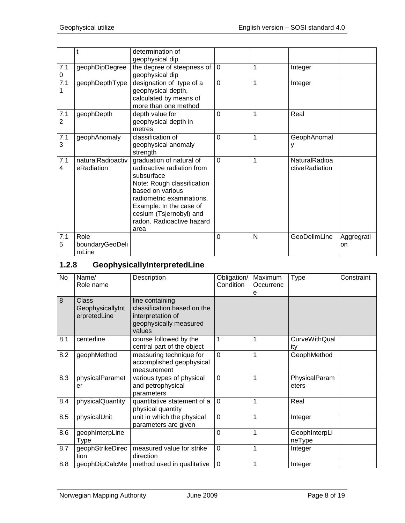|                       |                                  | determination of<br>geophysical dip                                                                                                                                                                                                            |          |   |                                 |                  |
|-----------------------|----------------------------------|------------------------------------------------------------------------------------------------------------------------------------------------------------------------------------------------------------------------------------------------|----------|---|---------------------------------|------------------|
| 7.1<br>0              | geophDipDegree                   | the degree of steepness of<br>geophysical dip                                                                                                                                                                                                  | $\Omega$ | 1 | Integer                         |                  |
| 7.1<br>1              | geophDepthType                   | designation of type of a<br>geophysical depth,<br>calculated by means of<br>more than one method                                                                                                                                               | $\Omega$ | 1 | Integer                         |                  |
| 7.1<br>$\overline{2}$ | geophDepth                       | depth value for<br>geophysical depth in<br>metres                                                                                                                                                                                              | $\Omega$ | 1 | Real                            |                  |
| 7.1<br>3              | geophAnomaly                     | classification of<br>geophysical anomaly<br>strength                                                                                                                                                                                           | $\Omega$ | 1 | GeophAnomal<br>у                |                  |
| 7.1<br>4              | naturalRadioactiv<br>eRadiation  | graduation of natural of<br>radioactive radiation from<br>subsurface<br>Note: Rough classification<br>based on various<br>radiometric examinations.<br>Example: In the case of<br>cesium (Tsjernobyl) and<br>radon. Radioactive hazard<br>area | $\Omega$ | 1 | NaturalRadioa<br>ctiveRadiation |                  |
| 7.1<br>5              | Role<br>boundaryGeoDeli<br>mLine |                                                                                                                                                                                                                                                | $\Omega$ | N | GeoDelimLine                    | Aggregrati<br>on |

# <span id="page-7-0"></span>**1.2.8 GeophysicallyInterpretedLine**

| No  | Name/<br>Role name                        | Description                                                                                             | Obligation/<br>Condition | Maximum<br>Occurrenc<br>е | <b>Type</b>                 | Constraint |
|-----|-------------------------------------------|---------------------------------------------------------------------------------------------------------|--------------------------|---------------------------|-----------------------------|------------|
| 8   | Class<br>GeophysicallyInt<br>erpretedLine | line containing<br>classification based on the<br>interpretation of<br>geophysically measured<br>values |                          |                           |                             |            |
| 8.1 | centerline                                | course followed by the<br>central part of the object                                                    | 1                        | 1                         | <b>CurveWithQual</b><br>ity |            |
| 8.2 | geophMethod                               | measuring technique for<br>accomplished geophysical<br>measurement                                      | $\Omega$                 | 1                         | GeophMethod                 |            |
| 8.3 | physicalParamet<br>er                     | various types of physical<br>and petrophysical<br>parameters                                            | $\mathbf 0$              | 1                         | PhysicalParam<br>eters      |            |
| 8.4 | physicalQuantity                          | quantitative statement of a<br>physical quantity                                                        | $\mathbf 0$              | 1                         | Real                        |            |
| 8.5 | physicalUnit                              | unit in which the physical<br>parameters are given                                                      | 0                        | 1                         | Integer                     |            |
| 8.6 | geophInterpLine<br>Type                   |                                                                                                         | 0                        | 1                         | GeophInterpLi<br>neType     |            |
| 8.7 | geophStrikeDirec<br>tion                  | measured value for strike<br>direction                                                                  | $\mathbf 0$              | 1                         | Integer                     |            |
| 8.8 | geophDipCalcMe                            | method used in qualitative                                                                              | $\mathbf 0$              | 1                         | Integer                     |            |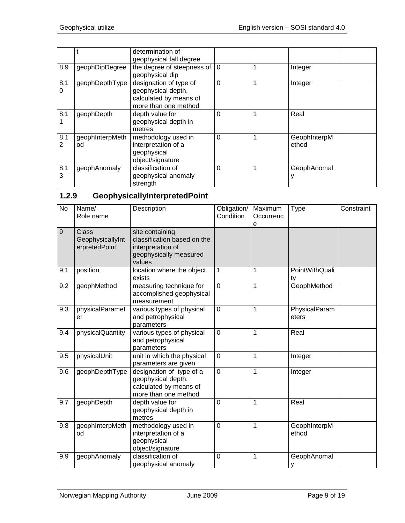|          |                       | determination of<br>geophysical fall degree                                                    |          |                       |
|----------|-----------------------|------------------------------------------------------------------------------------------------|----------|-----------------------|
| 8.9      | geophDipDegree        | the degree of steepness of<br>geophysical dip                                                  | $\Omega$ | Integer               |
| 8.1<br>0 | geophDepthType        | designation of type of<br>geophysical depth,<br>calculated by means of<br>more than one method | $\Omega$ | Integer               |
| 8.1      | geophDepth            | depth value for<br>geophysical depth in<br>metres                                              | 0        | Real                  |
| 8.1<br>2 | geophInterpMeth<br>od | methodology used in<br>interpretation of a<br>geophysical<br>object/signature                  | 0        | GeophInterpM<br>ethod |
| 8.1<br>3 | geophAnomaly          | classification of<br>geophysical anomaly<br>strength                                           | 0        | GeophAnomal           |

# <span id="page-8-0"></span>**1.2.9 GeophysicallyInterpretedPoint**

| <b>No</b>      | Name/<br>Role name                         | Description                                                                                             | Obligation/<br>Condition | Maximum<br>Occurrenc<br>е | <b>Type</b>            | Constraint |
|----------------|--------------------------------------------|---------------------------------------------------------------------------------------------------------|--------------------------|---------------------------|------------------------|------------|
| $\overline{9}$ | Class<br>GeophysicallyInt<br>erpretedPoint | site containing<br>classification based on the<br>interpretation of<br>geophysically measured<br>values |                          |                           |                        |            |
| 9.1            | position                                   | location where the object<br>exists                                                                     | $\mathbf{1}$             | 1                         | PointWithQuali<br>ty   |            |
| 9.2            | geophMethod                                | measuring technique for<br>accomplished geophysical<br>measurement                                      | $\overline{0}$           | 1                         | GeophMethod            |            |
| 9.3            | physicalParamet<br>er                      | various types of physical<br>and petrophysical<br>parameters                                            | $\mathbf 0$              | 1                         | PhysicalParam<br>eters |            |
| 9.4            | physicalQuantity                           | various types of physical<br>and petrophysical<br>parameters                                            | $\mathbf 0$              | 1                         | Real                   |            |
| 9.5            | physicalUnit                               | unit in which the physical<br>parameters are given                                                      | 0                        | 1                         | Integer                |            |
| 9.6            | geophDepthType                             | designation of type of a<br>geophysical depth,<br>calculated by means of<br>more than one method        | $\mathbf 0$              | 1                         | Integer                |            |
| 9.7            | geophDepth                                 | depth value for<br>geophysical depth in<br>metres                                                       | 0                        | 1                         | Real                   |            |
| 9.8            | geophInterpMeth<br>od                      | methodology used in<br>interpretation of a<br>geophysical<br>object/signature                           | $\overline{0}$           | $\mathbf 1$               | GeophInterpM<br>ethod  |            |
| 9.9            | geophAnomaly                               | classification of<br>geophysical anomaly                                                                | $\mathbf 0$              | 1                         | GeophAnomal<br>у       |            |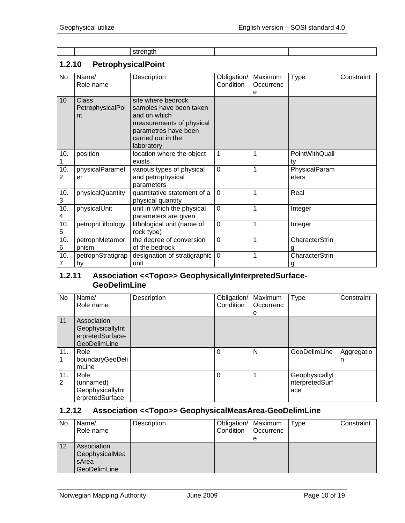#### <span id="page-9-0"></span>**1.2.10 PetrophysicalPoint**

| No       | Name/<br>Role name                     | Description                                                                                                                                            | Obligation/<br>Condition | Maximum<br>Occurrenc | Type                   | Constraint |
|----------|----------------------------------------|--------------------------------------------------------------------------------------------------------------------------------------------------------|--------------------------|----------------------|------------------------|------------|
|          |                                        |                                                                                                                                                        |                          | e                    |                        |            |
| 10       | <b>Class</b><br>PetrophysicalPoi<br>nt | site where bedrock<br>samples have been taken<br>and on which<br>measurements of physical<br>parametres have been<br>carried out in the<br>laboratory. |                          |                      |                        |            |
| 10.      | position                               | location where the object<br>exists                                                                                                                    | 1                        | 1                    | PointWithQuali<br>ty   |            |
| 10.<br>2 | physicalParamet<br>er                  | various types of physical<br>and petrophysical<br>parameters                                                                                           | $\overline{0}$           | 1                    | PhysicalParam<br>eters |            |
| 10.<br>3 | physicalQuantity                       | quantitative statement of a<br>physical quantity                                                                                                       | $\mathbf 0$              | 1                    | Real                   |            |
| 10.<br>4 | physicalUnit                           | unit in which the physical<br>parameters are given                                                                                                     | $\overline{0}$           | 1                    | Integer                |            |
| 10.<br>5 | petrophLithology                       | lithological unit (name of<br>rock type)                                                                                                               | $\overline{0}$           | 1                    | Integer                |            |
| 10.<br>6 | petrophMetamor<br>phism                | the degree of conversion<br>of the bedrock                                                                                                             | $\overline{0}$           | $\overline{1}$       | CharacterStrin         |            |
| 10.<br>7 | petrophStratigrap<br>hy                | designation of stratigraphic<br>unit                                                                                                                   | $\mathbf 0$              | $\mathbf{1}$         | CharacterStrin         |            |

#### <span id="page-9-1"></span>**1.2.11 Association <<Topo>> GeophysicallyInterpretedSurface-GeoDelimLine**

| No       | Name/<br>Role name                                                  | Description | Obligation/<br>Condition | Maximum<br>Occurrenc<br>e | <b>Type</b>                             | Constraint      |
|----------|---------------------------------------------------------------------|-------------|--------------------------|---------------------------|-----------------------------------------|-----------------|
| 11       | Association<br>GeophysicallyInt<br>erpretedSurface-<br>GeoDelimLine |             |                          |                           |                                         |                 |
| 11.      | Role<br>boundaryGeoDeli<br>mLine                                    |             | 0                        | N                         | GeoDelimLine                            | Aggregatio<br>n |
| 11.<br>2 | Role<br>(unnamed)<br>GeophysicallyInt<br>erpretedSurface            |             | $\Omega$                 |                           | Geophysicallyl<br>nterpretedSurf<br>ace |                 |

#### <span id="page-9-2"></span>**1.2.12 Association <<Topo>> GeophysicalMeasArea-GeoDelimLine**

| No | Name/<br>Role name                                             | Description | Obligation/   Maximum<br>Condition | <b>Occurrenc</b><br>e | Type | Constraint |
|----|----------------------------------------------------------------|-------------|------------------------------------|-----------------------|------|------------|
| 12 | Association<br>GeophysicalMea<br>sArea-<br><b>GeoDelimLine</b> |             |                                    |                       |      |            |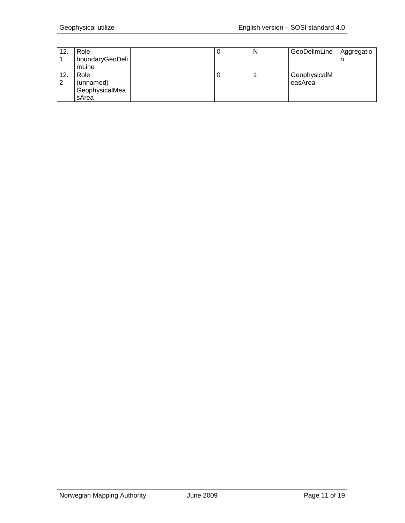| 12. | Role            |  | N | GeoDelimLine | Aggregatio |
|-----|-----------------|--|---|--------------|------------|
|     | boundaryGeoDeli |  |   |              |            |
|     | mLine           |  |   |              |            |
| 12. | Role            |  |   | GeophysicalM |            |
| 2   | (unnamed)       |  |   | easArea      |            |
|     | GeophysicalMea  |  |   |              |            |
|     | sArea           |  |   |              |            |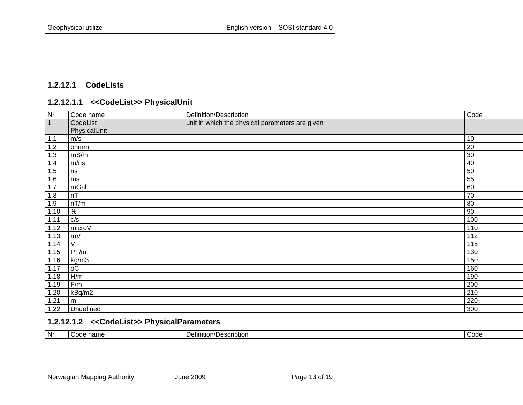## **1.2.12.1 CodeLists**

#### **1.2.12.1.1 <<CodeList>> PhysicalUnit**

<span id="page-12-1"></span><span id="page-12-0"></span>

| Nr             | Code name     | Definition/Description                          | Code            |
|----------------|---------------|-------------------------------------------------|-----------------|
| $\overline{1}$ | CodeList      | unit in which the physical parameters are given |                 |
|                | PhysicalUnit  |                                                 |                 |
| 1.1            | m/s           |                                                 | 10              |
| 1.2            | ohmm          |                                                 | $\overline{20}$ |
| 1.3            | mS/m          |                                                 | 30              |
| 1.4            | m/ns          |                                                 | 40              |
| 1.5            | ns            |                                                 | 50              |
| 1.6            | ms            |                                                 | 55              |
| 1.7            | mGal          |                                                 | 60              |
| 1.8            | nT            |                                                 | 70              |
| 1.9            | nT/m          |                                                 | 80              |
| 1.10           | $\frac{9}{6}$ |                                                 | 90              |
| 1.11           | c/s           |                                                 | 100             |
| 1.12           | microV        |                                                 | 110             |
| 1.13           | mV            |                                                 | 112             |
| 1.14           | V             |                                                 | 115             |
| 1.15           | PT/m          |                                                 | 130             |
| 1.16           | kg/m3         |                                                 | 150             |
| 1.17           | оC            |                                                 | 160             |
| 1.18           | H/m           |                                                 | 190             |
| 1.19           | F/m           |                                                 | 200             |
| 1.20           | kBq/m2        |                                                 | 210             |
| 1.21           | m             |                                                 | 220             |
| 1.22           | Undefined     |                                                 | 300             |

#### **1.2.12.1.2 <<CodeList>> PhysicalParameters**

<span id="page-12-2"></span>

| l Nr<br>nd.<br>nition.<br>Description<br>$\sim$<br>nome<br>ouu |  |  |  |  |
|----------------------------------------------------------------|--|--|--|--|
|----------------------------------------------------------------|--|--|--|--|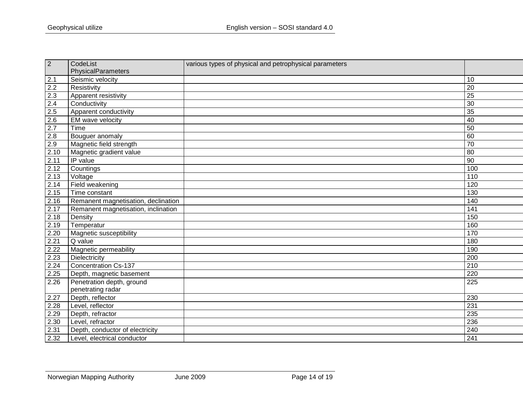| $\overline{2}$   | CodeList                            | various types of physical and petrophysical parameters |                  |
|------------------|-------------------------------------|--------------------------------------------------------|------------------|
|                  | PhysicalParameters                  |                                                        |                  |
| 2.1              | Seismic velocity                    |                                                        | 10               |
| $\overline{2.2}$ | Resistivity                         |                                                        | 20               |
| 2.3              | Apparent resistivity                |                                                        | 25               |
| 2.4              | Conductivity                        |                                                        | 30               |
| 2.5              | Apparent conductivity               |                                                        | 35               |
| $2.6\,$          | EM wave velocity                    |                                                        | 40               |
| $\overline{2.7}$ | Time                                |                                                        | 50               |
| 2.8              | Bouguer anomaly                     |                                                        | 60               |
| 2.9              | Magnetic field strength             |                                                        | $\overline{70}$  |
| 2.10             | Magnetic gradient value             |                                                        | 80               |
| 2.11             | IP value                            |                                                        | 90               |
| 2.12             | Countings                           |                                                        | 100              |
| 2.13             | Voltage                             |                                                        | 110              |
| 2.14             | Field weakening                     |                                                        | 120              |
| 2.15             | Time constant                       |                                                        | 130              |
| 2.16             | Remanent magnetisation, declination |                                                        | 140              |
| 2.17             | Remanent magnetisation, inclination |                                                        | 141              |
| 2.18             | Density                             |                                                        | 150              |
| 2.19             | Temperatur                          |                                                        | 160              |
| 2.20             | Magnetic susceptibility             |                                                        | 170              |
| 2.21             | Q value                             |                                                        | 180              |
| 2.22             | Magnetic permeability               |                                                        | 190              |
| 2.23             | Dielectricity                       |                                                        | 200              |
| 2.24             | <b>Concentration Cs-137</b>         |                                                        | $\overline{210}$ |
| 2.25             | Depth, magnetic basement            |                                                        | 220              |
| 2.26             | Penetration depth, ground           |                                                        | 225              |
|                  | penetrating radar                   |                                                        |                  |
| 2.27             | Depth, reflector                    |                                                        | 230              |
| 2.28             | Level, reflector                    |                                                        | 231              |
| 2.29             | Depth, refractor                    |                                                        | 235              |
| 2.30             | Level, refractor                    |                                                        | 236              |
| 2.31             | Depth, conductor of electricity     |                                                        | 240              |
| 2.32             | Level, electrical conductor         |                                                        | 241              |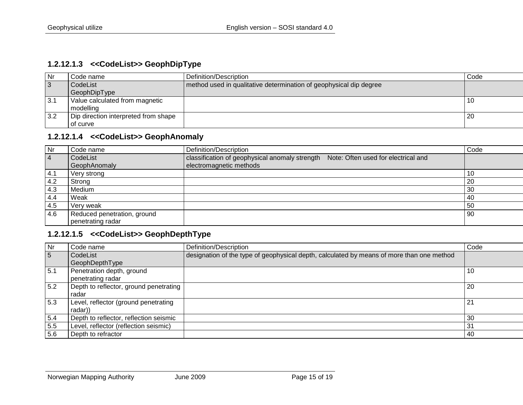#### **1.2.12.1.3 <<CodeList>> GeophDipType**

| Nr  | Code name                            | Definition/Description                                             | Code |
|-----|--------------------------------------|--------------------------------------------------------------------|------|
| 3   | CodeList                             | method used in qualitative determination of geophysical dip degree |      |
|     | GeophDipType                         |                                                                    |      |
| 3.1 | Value calculated from magnetic       |                                                                    | 10   |
|     | modelling                            |                                                                    |      |
| 3.2 | Dip direction interpreted from shape |                                                                    | -20  |
|     | of curve                             |                                                                    |      |

# **1.2.12.1.4 <<CodeList>> GeophAnomaly**

<span id="page-14-0"></span>

| <b>Nr</b>      | Code name                   | Definition/Description                                                                | Code |
|----------------|-----------------------------|---------------------------------------------------------------------------------------|------|
| $\overline{4}$ | CodeList                    | Note: Often used for electrical and<br>classification of geophysical anomaly strength |      |
|                | GeophAnomaly                | electromagnetic methods                                                               |      |
| 4.1            | Very strong                 |                                                                                       |      |
| 4.2            | Strong                      |                                                                                       | 20   |
| 4.3            | Medium                      |                                                                                       | 30   |
| 4.4            | Weak                        |                                                                                       | -40  |
| 4.5            | Very weak                   |                                                                                       | 50   |
| 4.6            | Reduced penetration, ground |                                                                                       | l 90 |
|                | penetrating radar           |                                                                                       |      |

#### **1.2.12.1.5 <<CodeList>> GeophDepthType**

<span id="page-14-2"></span><span id="page-14-1"></span>

| Nr               | Code name                              | Definition/Description                                                                    | Code |
|------------------|----------------------------------------|-------------------------------------------------------------------------------------------|------|
| 5                | CodeList                               | designation of the type of geophysical depth, calculated by means of more than one method |      |
|                  | GeophDepthType                         |                                                                                           |      |
| 5.1              | Penetration depth, ground              |                                                                                           | -10  |
|                  | penetrating radar                      |                                                                                           |      |
| $\overline{5.2}$ | Depth to reflector, ground penetrating |                                                                                           | -20  |
|                  | radar                                  |                                                                                           |      |
| 5.3              | Level, reflector (ground penetrating   |                                                                                           | 21   |
|                  | radar))                                |                                                                                           |      |
| 5.4              | Depth to reflector, reflection seismic |                                                                                           | 30   |
| 5.5              | Level, reflector (reflection seismic)  |                                                                                           | 31   |
| 5.6              | Depth to refractor                     |                                                                                           | 40   |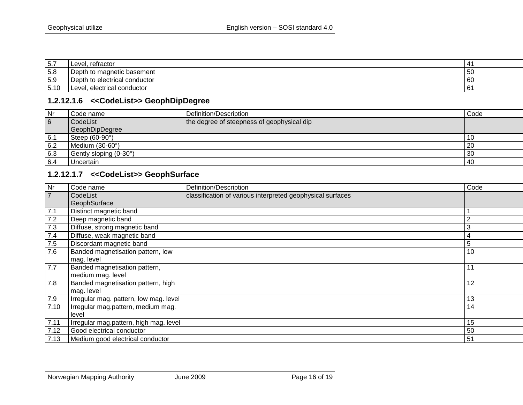| 5.7  | refractor<br>Level               |     |
|------|----------------------------------|-----|
| 5.8  | Depth to magnetic basement       | -50 |
| 5.9  | Depth to electrical conductor    | 60  |
| 5.10 | , electrical conductor<br>Level, | 6   |

# **1.2.12.1.6 <<CodeList>> GeophDipDegree**

| Nr  | Code name              | Definition/Description                     | Code |
|-----|------------------------|--------------------------------------------|------|
| 6   | CodeList               | the degree of steepness of geophysical dip |      |
|     | <b>GeophDipDegree</b>  |                                            |      |
| 6.1 | Steep (60-90°)         |                                            | -16  |
| 6.2 | Medium (30-60°)        |                                            | -20  |
| 6.3 | Gently sloping (0-30°) |                                            | -30  |
| 6.4 | Uncertain              |                                            | -40  |

#### **1.2.12.1.7 <<CodeList>> GeophSurface**

<span id="page-15-1"></span><span id="page-15-0"></span>

| Nr             | Code name                              | Definition/Description                                     | Code |
|----------------|----------------------------------------|------------------------------------------------------------|------|
| $\overline{7}$ | CodeList                               | classification of various interpreted geophysical surfaces |      |
|                | GeophSurface                           |                                                            |      |
| 7.1            | Distinct magnetic band                 |                                                            |      |
| 7.2            | Deep magnetic band                     |                                                            | 2    |
| 7.3            | Diffuse, strong magnetic band          |                                                            | 3    |
| 7.4            | Diffuse, weak magnetic band            |                                                            | 4    |
| 7.5            | Discordant magnetic band               |                                                            | 5    |
| 7.6            | Banded magnetisation pattern, low      |                                                            | 10   |
|                | mag. level                             |                                                            |      |
| 7.7            | Banded magnetisation pattern,          |                                                            | 11   |
|                | medium mag. level                      |                                                            |      |
| 7.8            | Banded magnetisation pattern, high     |                                                            | 12   |
|                | mag. level                             |                                                            |      |
| 7.9            | Irregular mag. pattern, low mag. level |                                                            | 13   |
| 7.10           | Irregular mag.pattern, medium mag.     |                                                            | 14   |
|                | level                                  |                                                            |      |
| 7.11           | Irregular mag.pattern, high mag. level |                                                            | 15   |
| 7.12           | Good electrical conductor              |                                                            | 50   |
| 7.13           | Medium good electrical conductor       |                                                            | 51   |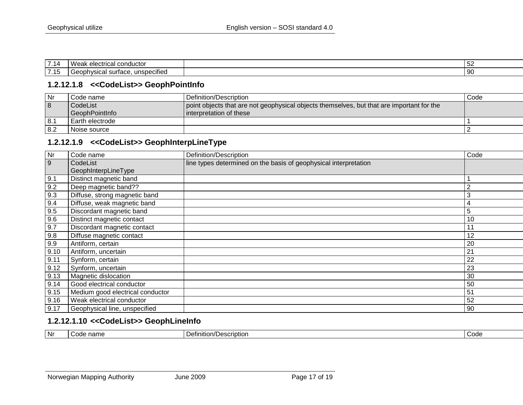| $\rightarrow$ $\rightarrow$ $\rightarrow$<br>. | Wea<br>i conductoi<br>rıcal<br>$\sim$ $\sim$<br><u>.</u>       | ັບ∠ |
|------------------------------------------------|----------------------------------------------------------------|-----|
| 7.4 <sub>F</sub><br>.                          | .<br>unspecified<br>nonhom<br>$\sim$<br>— и.<br>uaw.<br>.<br>. | -90 |

#### **1.2.12.1.8 <<CodeList>> GeophPointInfo**

| Nr  | Code name:        | Definition/Description                                                                    | Code |
|-----|-------------------|-------------------------------------------------------------------------------------------|------|
| 8   | CodeList          | point objects that are not geophysical objects themselves, but that are important for the |      |
|     | GeophPointInfo    | I interpretation of these                                                                 |      |
| 8.1 | l Earth electrode |                                                                                           |      |
| 8.2 | Noise source      |                                                                                           |      |

#### **1.2.12.1.9 <<CodeList>> GeophInterpLineType**

<span id="page-16-0"></span>

| $\overline{\mathsf{N}}$ r | Code name                        | Definition/Description                                           | Code |
|---------------------------|----------------------------------|------------------------------------------------------------------|------|
| 9                         | CodeList                         | line types determined on the basis of geophysical interpretation |      |
|                           | GeophInterpLineType              |                                                                  |      |
| 9.1                       | Distinct magnetic band           |                                                                  |      |
| 9.2                       | Deep magnetic band??             |                                                                  | 2    |
| 9.3                       | Diffuse, strong magnetic band    |                                                                  | 3    |
| 9.4                       | Diffuse, weak magnetic band      |                                                                  | 4    |
| 9.5                       | Discordant magnetic band         |                                                                  | 5    |
| 9.6                       | Distinct magnetic contact        |                                                                  | 10   |
| 9.7                       | Discordant magnetic contact      |                                                                  | 11   |
| 9.8                       | Diffuse magnetic contact         |                                                                  | 12   |
| 9.9                       | Antiform, certain                |                                                                  | 20   |
| 9.10                      | Antiform, uncertain              |                                                                  | 21   |
| 9.11                      | Synform, certain                 |                                                                  | 22   |
| 9.12                      | Synform, uncertain               |                                                                  | 23   |
| 9.13                      | Magnetic dislocation             |                                                                  | 30   |
| 9.14                      | Good electrical conductor        |                                                                  | 50   |
| 9.15                      | Medium good electrical conductor |                                                                  | 51   |
| 9.16                      | Weak electrical conductor        |                                                                  | 52   |
| 9.17                      | Geophysical line, unspecified    |                                                                  | 90   |

#### <span id="page-16-1"></span>**1.2.12.1.10 <<CodeList>> GeophLineInfo**

<span id="page-16-2"></span>

| <b>Nr</b> | $\sim$<br>name<br>. . | ∵≀efinition/∟<br>criptioi<br>. | Code |
|-----------|-----------------------|--------------------------------|------|
|-----------|-----------------------|--------------------------------|------|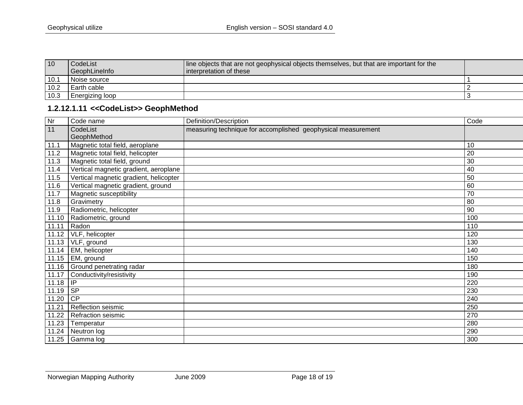| 10   | l CodeList             | line objects that are not geophysical objects themselves, but that are important for the |  |
|------|------------------------|------------------------------------------------------------------------------------------|--|
|      | GeophLineInfo          | Interpretation of these                                                                  |  |
| 10.1 | Noise source           |                                                                                          |  |
| 10.2 | Earth cable            |                                                                                          |  |
| 10.3 | <b>Energizing loop</b> |                                                                                          |  |

# **1.2.12.1.11 <<CodeList>> GeophMethod**

<span id="page-17-0"></span>

| $\overline{N}$  | Code name                              | Definition/Description                                       | Code |
|-----------------|----------------------------------------|--------------------------------------------------------------|------|
| $\overline{11}$ | CodeList                               | measuring technique for accomplished geophysical measurement |      |
|                 | GeophMethod                            |                                                              |      |
| 11.1            | Magnetic total field, aeroplane        |                                                              | 10   |
| 11.2            | Magnetic total field, helicopter       |                                                              | 20   |
| 11.3            | Magnetic total field, ground           |                                                              | 30   |
| 11.4            | Vertical magnetic gradient, aeroplane  |                                                              | 40   |
| 11.5            | Vertical magnetic gradient, helicopter |                                                              | 50   |
| 11.6            | Vertical magnetic gradient, ground     |                                                              | 60   |
| 11.7            | Magnetic susceptibility                |                                                              | 70   |
| 11.8            | Gravimetry                             |                                                              | 80   |
| 11.9            | Radiometric, helicopter                |                                                              | 90   |
| 11.10           | Radiometric, ground                    |                                                              | 100  |
| 11.11           | Radon                                  |                                                              | 110  |
| 11.12           | VLF, helicopter                        |                                                              | 120  |
| 11.13           | VLF, ground                            |                                                              | 130  |
| 11.14           | EM, helicopter                         |                                                              | 140  |
| 11.15           | EM, ground                             |                                                              | 150  |
|                 | 11.16 Ground penetrating radar         |                                                              | 180  |
| 11.17           | Conductivity/resistivity               |                                                              | 190  |
| 11.18           | IP                                     |                                                              | 220  |
| 11.19           | <b>SP</b>                              |                                                              | 230  |
| 11.20           | CP                                     |                                                              | 240  |
| 11.21           | Reflection seismic                     |                                                              | 250  |
| 11.22           | Refraction seismic                     |                                                              | 270  |
| 11.23           | Temperatur                             |                                                              | 280  |
| 11.24           | Neutron log                            |                                                              | 290  |
| 11.25           | Gamma log                              |                                                              | 300  |